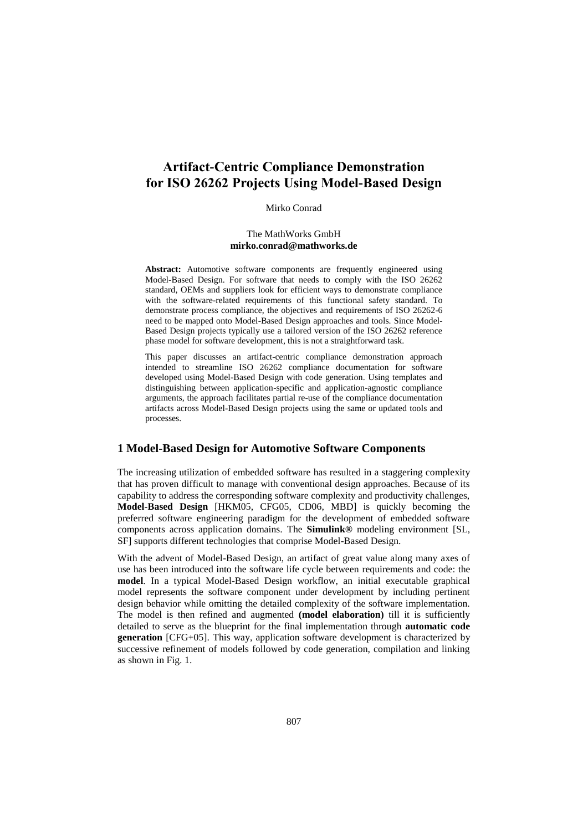# **Artifact-Centric Compliance Demonstration for ISO 26262 Projects Using Model-Based Design**

#### Mirko Conrad

#### The MathWorks GmbH **[mirko.conrad@mathworks.de](mailto:mirko.conrad@mathworks.de)**

Abstract: Automotive software components are frequently engineered using Model-Based Design. For software that needs to comply with the ISO 26262 standard, OEMs and suppliers look for efficient ways to demonstrate compliance with the software-related requirements of this functional safety standard. To demonstrate process compliance, the objectives and requirements of ISO 26262-6 need to be mapped onto Model-Based Design approaches and tools. Since Model-Based Design projects typically use a tailored version of the ISO 26262 reference phase model for software development, this is not a straightforward task.

This paper discusses an artifact-centric compliance demonstration approach intended to streamline ISO 26262 compliance documentation for software developed using Model-Based Design with code generation. Using templates and distinguishing between application-specific and application-agnostic compliance arguments, the approach facilitates partial re-use of the compliance documentation artifacts across Model-Based Design projects using the same or updated tools and processes.

#### **1 Model-Based Design for Automotive Software Components**

The increasing utilization of embedded software has resulted in a staggering complexity that has proven difficult to manage with conventional design approaches. Because of its capability to address the corresponding software complexity and productivity challenges, **Model-Based Design** [HKM05, CFG05, CD06, MBD] is quickly becoming the preferred software engineering paradigm for the development of embedded software components across application domains. The **Simulink®** modeling environment [SL, SF] supports different technologies that comprise Model-Based Design.

With the advent of Model-Based Design, an artifact of great value along many axes of use has been introduced into the software life cycle between requirements and code: the **model**. In a typical Model-Based Design workflow, an initial executable graphical model represents the software component under development by including pertinent design behavior while omitting the detailed complexity of the software implementation. The model is then refined and augmented **(model elaboration)** till it is sufficiently detailed to serve as the blueprint for the final implementation through **automatic code generation** [CFG+05]. This way, application software development is characterized by successive refinement of models followed by code generation, compilation and linking as shown in Fig. 1.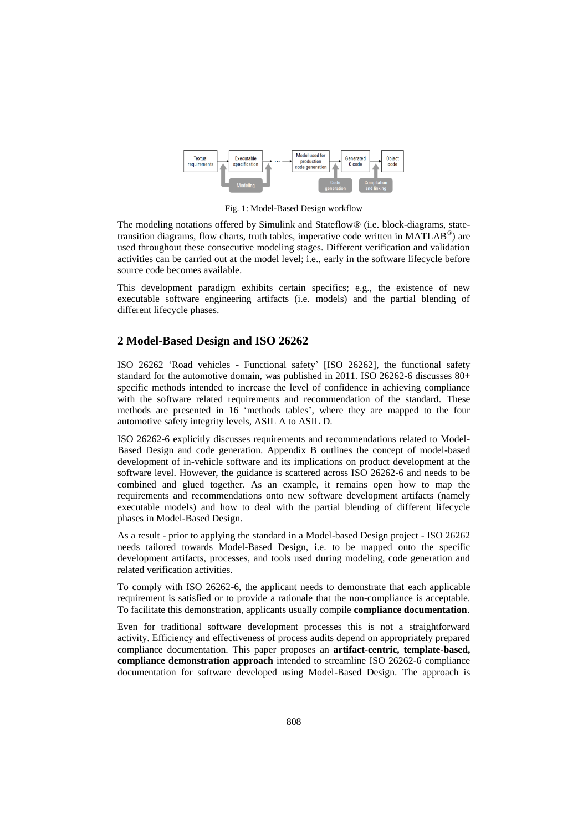

Fig. 1: Model-Based Design workflow

The modeling notations offered by Simulink and Stateflow® (i.e. block-diagrams, statetransition diagrams, flow charts, truth tables, imperative code written in MATLAB®) are used throughout these consecutive modeling stages. Different verification and validation activities can be carried out at the model level; i.e., early in the software lifecycle before source code becomes available.

This development paradigm exhibits certain specifics; e.g., the existence of new executable software engineering artifacts (i.e. models) and the partial blending of different lifecycle phases.

## **2 Model-Based Design and ISO 26262**

ISO 26262 'Road vehicles - Functional safety' [ISO 26262], the functional safety standard for the automotive domain, was published in 2011. ISO 26262-6 discusses 80+ specific methods intended to increase the level of confidence in achieving compliance with the software related requirements and recommendation of the standard. These methods are presented in 16 'methods tables', where they are mapped to the four automotive safety integrity levels, ASIL A to ASIL D.

ISO 26262-6 explicitly discusses requirements and recommendations related to Model-Based Design and code generation. Appendix B outlines the concept of model-based development of in-vehicle software and its implications on product development at the software level. However, the guidance is scattered across ISO 26262-6 and needs to be combined and glued together. As an example, it remains open how to map the requirements and recommendations onto new software development artifacts (namely executable models) and how to deal with the partial blending of different lifecycle phases in Model-Based Design.

As a result - prior to applying the standard in a Model-based Design project - ISO 26262 needs tailored towards Model-Based Design, i.e. to be mapped onto the specific development artifacts, processes, and tools used during modeling, code generation and related verification activities.

To comply with ISO 26262-6, the applicant needs to demonstrate that each applicable requirement is satisfied or to provide a rationale that the non-compliance is acceptable. To facilitate this demonstration, applicants usually compile **compliance documentation**.

Even for traditional software development processes this is not a straightforward activity. Efficiency and effectiveness of process audits depend on appropriately prepared compliance documentation. This paper proposes an **artifact-centric, template-based, compliance demonstration approach** intended to streamline ISO 26262-6 compliance documentation for software developed using Model-Based Design. The approach is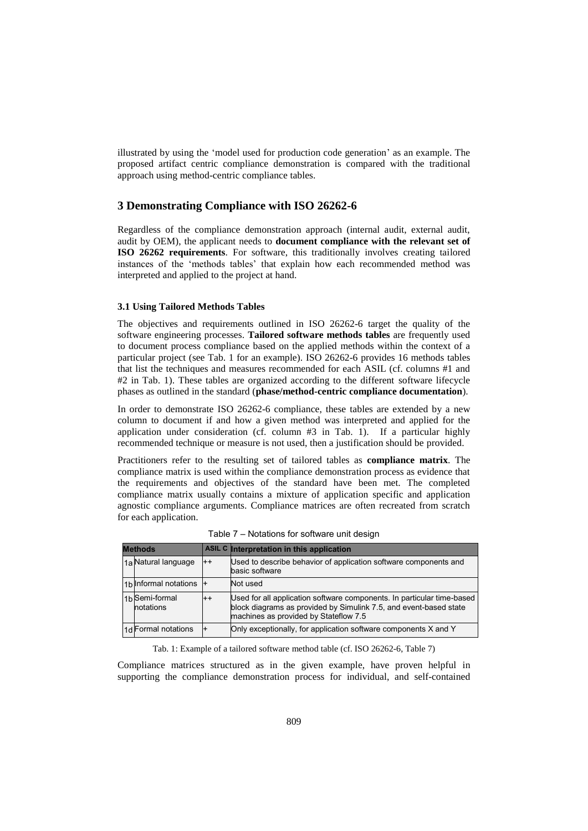illustrated by using the 'model used for production code generation' as an example. The proposed artifact centric compliance demonstration is compared with the traditional approach using method-centric compliance tables.

### **3 Demonstrating Compliance with ISO 26262-6**

Regardless of the compliance demonstration approach (internal audit, external audit, audit by OEM), the applicant needs to **document compliance with the relevant set of ISO 26262 requirements**. For software, this traditionally involves creating tailored instances of the 'methods tables' that explain how each recommended method was interpreted and applied to the project at hand.

#### **3.1 Using Tailored Methods Tables**

The objectives and requirements outlined in ISO 26262-6 target the quality of the software engineering processes. **Tailored software methods tables** are frequently used to document process compliance based on the applied methods within the context of a particular project (see Tab. 1 for an example). ISO 26262-6 provides 16 methods tables that list the techniques and measures recommended for each ASIL (cf. columns #1 and #2 in Tab. 1). These tables are organized according to the different software lifecycle phases as outlined in the standard (**phase/method-centric compliance documentation**).

In order to demonstrate ISO 26262-6 compliance, these tables are extended by a new column to document if and how a given method was interpreted and applied for the application under consideration (cf. column #3 in Tab. 1). If a particular highly recommended technique or measure is not used, then a justification should be provided.

Practitioners refer to the resulting set of tailored tables as **compliance matrix**. The compliance matrix is used within the compliance demonstration process as evidence that the requirements and objectives of the standard have been met. The completed compliance matrix usually contains a mixture of application specific and application agnostic compliance arguments. Compliance matrices are often recreated from scratch for each application.

| <b>Methods</b> |                                         |         | ASIL C Interpretation in this application                                                                                                                                            |  |  |
|----------------|-----------------------------------------|---------|--------------------------------------------------------------------------------------------------------------------------------------------------------------------------------------|--|--|
|                | 1a Natural language                     | $^{++}$ | Used to describe behavior of application software components and<br>basic software                                                                                                   |  |  |
|                | 1b Informal notations                   |         | Not used                                                                                                                                                                             |  |  |
|                | 1 <sub>b</sub> Semi-formal<br>notations | $^{++}$ | Used for all application software components. In particular time-based<br>block diagrams as provided by Simulink 7.5, and event-based state<br>machines as provided by Stateflow 7.5 |  |  |
|                | 1d Formal notations                     |         | Only exceptionally, for application software components X and Y                                                                                                                      |  |  |

Table 7 – Notations for software unit design

Tab. 1: Example of a tailored software method table (cf. ISO 26262-6, Table 7)

Compliance matrices structured as in the given example, have proven helpful in supporting the compliance demonstration process for individual, and self-contained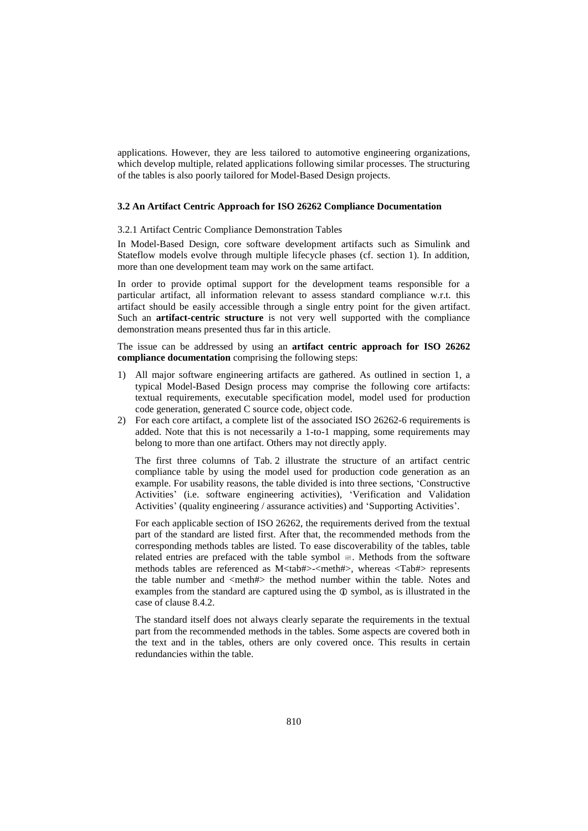applications. However, they are less tailored to automotive engineering organizations, which develop multiple, related applications following similar processes. The structuring of the tables is also poorly tailored for Model-Based Design projects.

#### **3.2 An Artifact Centric Approach for ISO 26262 Compliance Documentation**

#### 3.2.1 Artifact Centric Compliance Demonstration Tables

In Model-Based Design, core software development artifacts such as Simulink and Stateflow models evolve through multiple lifecycle phases (cf. section 1). In addition, more than one development team may work on the same artifact.

In order to provide optimal support for the development teams responsible for a particular artifact, all information relevant to assess standard compliance w.r.t. this artifact should be easily accessible through a single entry point for the given artifact. Such an **artifact-centric structure** is not very well supported with the compliance demonstration means presented thus far in this article.

The issue can be addressed by using an **artifact centric approach for ISO 26262 compliance documentation** comprising the following steps:

- 1) All major software engineering artifacts are gathered. As outlined in section 1, a typical Model-Based Design process may comprise the following core artifacts: textual requirements, executable specification model, model used for production code generation, generated C source code, object code.
- 2) For each core artifact, a complete list of the associated ISO 26262-6 requirements is added. Note that this is not necessarily a 1-to-1 mapping, some requirements may belong to more than one artifact. Others may not directly apply.

The first three columns of Tab. 2 illustrate the structure of an artifact centric compliance table by using the model used for production code generation as an example. For usability reasons, the table divided is into three sections, 'Constructive Activities' (i.e. software engineering activities), 'Verification and Validation Activities' (quality engineering / assurance activities) and 'Supporting Activities'.

For each applicable section of ISO 26262, the requirements derived from the textual part of the standard are listed first. After that, the recommended methods from the corresponding methods tables are listed. To ease discoverability of the tables, table related entries are prefaced with the table symbol  $\mathbb{E}$ . Methods from the software methods tables are referenced as M<tab#>-<meth#>, whereas <Tab#> represents the table number and  $\langle \text{meth} \# \rangle$  the method number within the table. Notes and examples from the standard are captured using the  $\Phi$  symbol, as is illustrated in the case of clause 8.4.2.

The standard itself does not always clearly separate the requirements in the textual part from the recommended methods in the tables. Some aspects are covered both in the text and in the tables, others are only covered once. This results in certain redundancies within the table.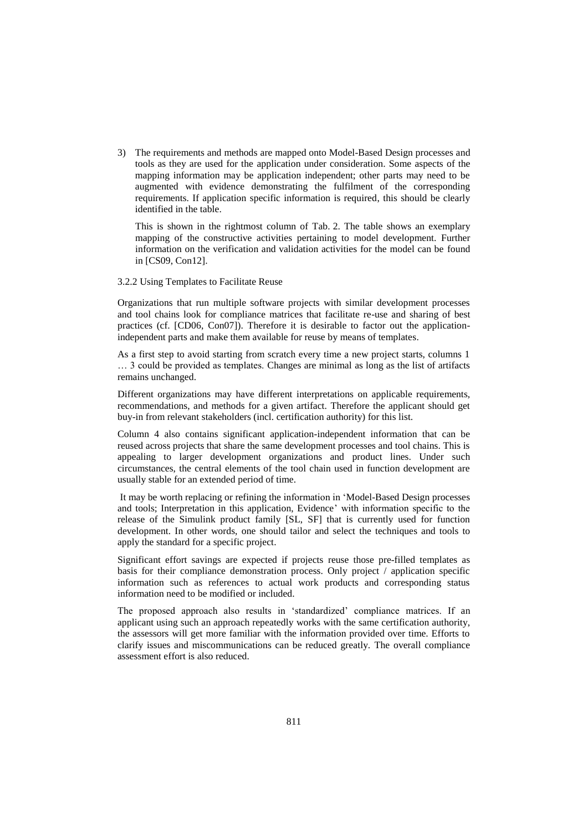3) The requirements and methods are mapped onto Model-Based Design processes and tools as they are used for the application under consideration. Some aspects of the mapping information may be application independent; other parts may need to be augmented with evidence demonstrating the fulfilment of the corresponding requirements. If application specific information is required, this should be clearly identified in the table.

This is shown in the rightmost column of Tab. 2. The table shows an exemplary mapping of the constructive activities pertaining to model development. Further information on the verification and validation activities for the model can be found in [CS09, Con12].

#### 3.2.2 Using Templates to Facilitate Reuse

Organizations that run multiple software projects with similar development processes and tool chains look for compliance matrices that facilitate re-use and sharing of best practices (cf. [CD06, Con07]). Therefore it is desirable to factor out the applicationindependent parts and make them available for reuse by means of templates.

As a first step to avoid starting from scratch every time a new project starts, columns 1 … 3 could be provided as templates. Changes are minimal as long as the list of artifacts remains unchanged.

Different organizations may have different interpretations on applicable requirements, recommendations, and methods for a given artifact. Therefore the applicant should get buy-in from relevant stakeholders (incl. certification authority) for this list.

Column 4 also contains significant application-independent information that can be reused across projects that share the same development processes and tool chains. This is appealing to larger development organizations and product lines. Under such circumstances, the central elements of the tool chain used in function development are usually stable for an extended period of time.

 It may be worth replacing or refining the information in 'Model-Based Design processes and tools; Interpretation in this application, Evidence' with information specific to the release of the Simulink product family [SL, SF] that is currently used for function development. In other words, one should tailor and select the techniques and tools to apply the standard for a specific project.

Significant effort savings are expected if projects reuse those pre-filled templates as basis for their compliance demonstration process. Only project / application specific information such as references to actual work products and corresponding status information need to be modified or included.

The proposed approach also results in 'standardized' compliance matrices. If an applicant using such an approach repeatedly works with the same certification authority, the assessors will get more familiar with the information provided over time. Efforts to clarify issues and miscommunications can be reduced greatly. The overall compliance assessment effort is also reduced.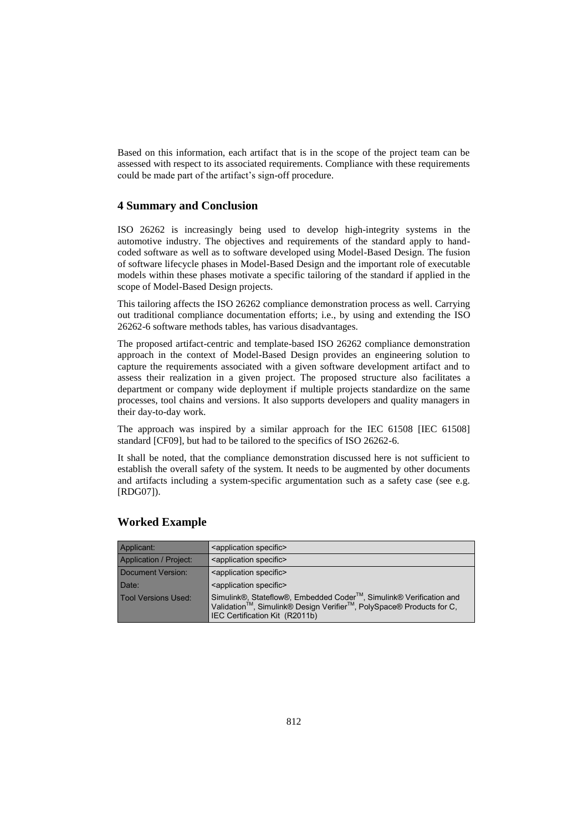Based on this information, each artifact that is in the scope of the project team can be assessed with respect to its associated requirements. Compliance with these requirements could be made part of the artifact's sign-off procedure.

### **4 Summary and Conclusion**

ISO 26262 is increasingly being used to develop high-integrity systems in the automotive industry. The objectives and requirements of the standard apply to handcoded software as well as to software developed using Model-Based Design. The fusion of software lifecycle phases in Model-Based Design and the important role of executable models within these phases motivate a specific tailoring of the standard if applied in the scope of Model-Based Design projects.

This tailoring affects the ISO 26262 compliance demonstration process as well. Carrying out traditional compliance documentation efforts; i.e., by using and extending the ISO 26262-6 software methods tables, has various disadvantages.

The proposed artifact-centric and template-based ISO 26262 compliance demonstration approach in the context of Model-Based Design provides an engineering solution to capture the requirements associated with a given software development artifact and to assess their realization in a given project. The proposed structure also facilitates a department or company wide deployment if multiple projects standardize on the same processes, tool chains and versions. It also supports developers and quality managers in their day-to-day work.

The approach was inspired by a similar approach for the IEC 61508 [IEC 61508] standard [CF09], but had to be tailored to the specifics of ISO 26262-6.

It shall be noted, that the compliance demonstration discussed here is not sufficient to establish the overall safety of the system. It needs to be augmented by other documents and artifacts including a system-specific argumentation such as a safety case (see e.g. [RDG07]).

| Applicant:             | <application specific=""></application>                                                                                                                                                               |
|------------------------|-------------------------------------------------------------------------------------------------------------------------------------------------------------------------------------------------------|
| Application / Project: | <application specific=""></application>                                                                                                                                                               |
| Document Version:      | <application specific=""></application>                                                                                                                                                               |
| Date:                  | <application specific=""></application>                                                                                                                                                               |
| Tool Versions Used:    | Simulink®, Stateflow®, Embedded Coder <sup>™</sup> , Simulink® Verification and<br>Validation™, Simulink® Design Verifier <sup>™</sup> , PolySpace® Products for C,<br>IEC Certification Kit (R2011b) |

### **Worked Example**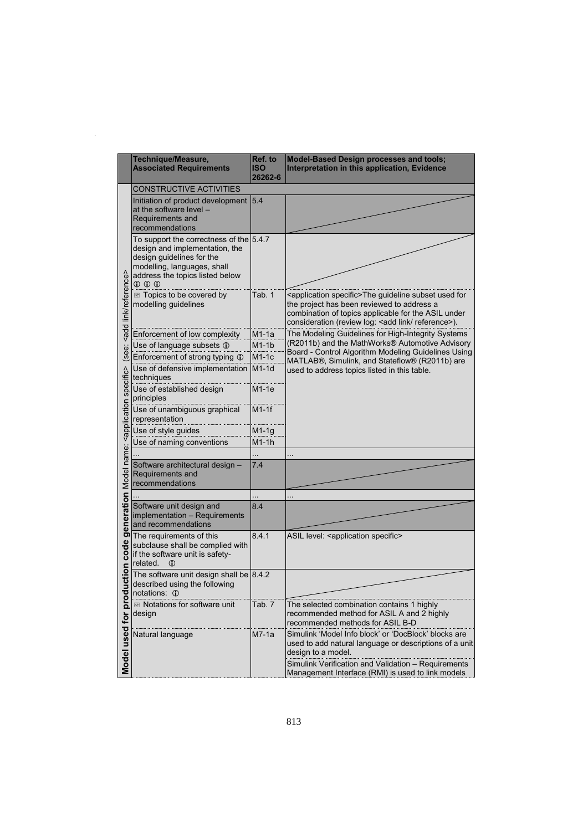|                                                                                                    | Technique/Measure,<br><b>Associated Requirements</b>                                                                                                                            | Ref. to<br><b>ISO</b><br>26262-6 | <b>Model-Based Design processes and tools;</b><br>Interpretation in this application, Evidence                                                                                                                                            |
|----------------------------------------------------------------------------------------------------|---------------------------------------------------------------------------------------------------------------------------------------------------------------------------------|----------------------------------|-------------------------------------------------------------------------------------------------------------------------------------------------------------------------------------------------------------------------------------------|
|                                                                                                    | <b>CONSTRUCTIVE ACTIVITIES</b>                                                                                                                                                  |                                  |                                                                                                                                                                                                                                           |
| <add link="" reference=""></add>                                                                   | Initiation of product development 5.4<br>at the software level $-$<br>Requirements and<br>recommendations                                                                       |                                  |                                                                                                                                                                                                                                           |
|                                                                                                    | To support the correctness of the 5.4.7<br>design and implementation, the<br>design guidelines for the<br>modelling, languages, shall<br>address the topics listed below<br>000 |                                  |                                                                                                                                                                                                                                           |
|                                                                                                    | Topics to be covered by<br>modelling guidelines                                                                                                                                 | Tab. 1                           | <application specific="">The guideline subset used for<br/>the project has been reviewed to address a<br/>combination of topics applicable for the ASIL under<br/>consideration (review log: &lt; add link/ reference&gt;).</application> |
|                                                                                                    | Enforcement of low complexity                                                                                                                                                   | M1-1a                            | The Modeling Guidelines for High-Integrity Systems                                                                                                                                                                                        |
|                                                                                                    | Use of language subsets 1                                                                                                                                                       | $M1-1b$                          | (R2011b) and the MathWorks® Automotive Advisory                                                                                                                                                                                           |
| (see:                                                                                              | Enforcement of strong typing 1                                                                                                                                                  | M1-1c                            | Board - Control Algorithm Modeling Guidelines Using                                                                                                                                                                                       |
|                                                                                                    | Use of defensive implementation<br>techniques                                                                                                                                   | $M1-1d$                          | MATLAB®, Simulink, and Stateflow® (R2011b) are<br>used to address topics listed in this table.                                                                                                                                            |
|                                                                                                    | Use of established design<br>principles                                                                                                                                         | $M1-1e$                          |                                                                                                                                                                                                                                           |
|                                                                                                    | Use of unambiguous graphical<br>representation                                                                                                                                  | $M1-1f$                          |                                                                                                                                                                                                                                           |
|                                                                                                    | Use of style guides                                                                                                                                                             | $M1-1g$                          |                                                                                                                                                                                                                                           |
|                                                                                                    | Use of naming conventions                                                                                                                                                       | $M1-1h$                          |                                                                                                                                                                                                                                           |
|                                                                                                    |                                                                                                                                                                                 |                                  |                                                                                                                                                                                                                                           |
|                                                                                                    | Software architectural design -<br>Requirements and<br>recommendations                                                                                                          | 7.4                              |                                                                                                                                                                                                                                           |
|                                                                                                    |                                                                                                                                                                                 |                                  |                                                                                                                                                                                                                                           |
|                                                                                                    | Software unit design and<br>implementation - Requirements<br>and recommendations                                                                                                | 8.4                              |                                                                                                                                                                                                                                           |
| duction code generation Model name: <application specific=""><br/>Model used for pro</application> | The requirements of this<br>subclause shall be complied with<br>if the software unit is safety-<br>related.<br>$\mathbb{O}$                                                     | 8.4.1                            | ASIL level: <application specific=""></application>                                                                                                                                                                                       |
|                                                                                                    | The software unit design shall be $ 8.4.2$<br>described using the following<br>notations: 1                                                                                     |                                  |                                                                                                                                                                                                                                           |
|                                                                                                    | Motations for software unit<br>design                                                                                                                                           | Tab. 7                           | The selected combination contains 1 highly<br>recommended method for ASIL A and 2 highly<br>recommended methods for ASIL B-D                                                                                                              |
|                                                                                                    | Natural language                                                                                                                                                                | $M7-1a$                          | Simulink 'Model Info block' or 'DocBlock' blocks are<br>used to add natural language or descriptions of a unit<br>design to a model.                                                                                                      |
|                                                                                                    |                                                                                                                                                                                 |                                  | Simulink Verification and Validation - Requirements<br>Management Interface (RMI) is used to link models                                                                                                                                  |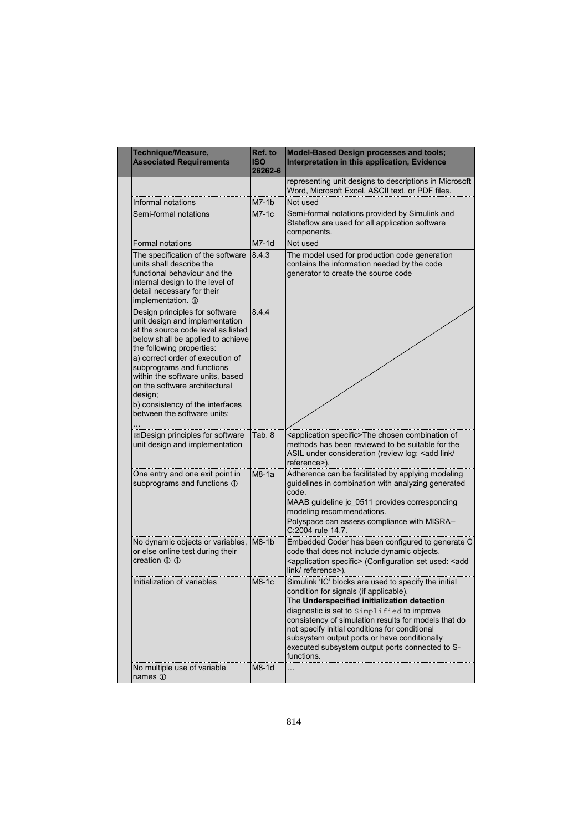|  | Technique/Measure,<br><b>Associated Requirements</b>                                                                                                                                                                                                                                                                                                                                         | Ref. to<br><b>ISO</b><br>26262-6 | <b>Model-Based Design processes and tools;</b><br>Interpretation in this application, Evidence                                                                                                                                                                                                                                                                                                                         |
|--|----------------------------------------------------------------------------------------------------------------------------------------------------------------------------------------------------------------------------------------------------------------------------------------------------------------------------------------------------------------------------------------------|----------------------------------|------------------------------------------------------------------------------------------------------------------------------------------------------------------------------------------------------------------------------------------------------------------------------------------------------------------------------------------------------------------------------------------------------------------------|
|  |                                                                                                                                                                                                                                                                                                                                                                                              |                                  | representing unit designs to descriptions in Microsoft<br>Word, Microsoft Excel, ASCII text, or PDF files.                                                                                                                                                                                                                                                                                                             |
|  | Informal notations                                                                                                                                                                                                                                                                                                                                                                           | $M7-1b$                          | Not used                                                                                                                                                                                                                                                                                                                                                                                                               |
|  | Semi-formal notations                                                                                                                                                                                                                                                                                                                                                                        | $M7-1c$                          | Semi-formal notations provided by Simulink and<br>Stateflow are used for all application software<br>components.                                                                                                                                                                                                                                                                                                       |
|  | <b>Formal notations</b>                                                                                                                                                                                                                                                                                                                                                                      | $M7-1d$                          | Not used                                                                                                                                                                                                                                                                                                                                                                                                               |
|  | The specification of the software<br>units shall describe the<br>functional behaviour and the<br>internal design to the level of<br>detail necessary for their<br>implementation. 1                                                                                                                                                                                                          | 8.4.3                            | The model used for production code generation<br>contains the information needed by the code<br>generator to create the source code                                                                                                                                                                                                                                                                                    |
|  | Design principles for software<br>unit design and implementation<br>at the source code level as listed<br>below shall be applied to achieve<br>the following properties:<br>a) correct order of execution of<br>subprograms and functions<br>within the software units, based<br>on the software architectural<br>design;<br>b) consistency of the interfaces<br>between the software units: | 8.4.4                            |                                                                                                                                                                                                                                                                                                                                                                                                                        |
|  | <b>Exercise Design principles for software</b><br>unit design and implementation                                                                                                                                                                                                                                                                                                             | Tab. 8                           | <application specific="">The chosen combination of<br/>methods has been reviewed to be suitable for the<br/>ASIL under consideration (review log: &lt; add link/<br/>reference&gt;).</application>                                                                                                                                                                                                                     |
|  | One entry and one exit point in<br>subprograms and functions 1                                                                                                                                                                                                                                                                                                                               | $M8-1a$                          | Adherence can be facilitated by applying modeling<br>guidelines in combination with analyzing generated<br>code.<br>MAAB guideline jc_0511 provides corresponding<br>modeling recommendations.<br>Polyspace can assess compliance with MISRA-<br>C:2004 rule 14.7.                                                                                                                                                     |
|  | No dynamic objects or variables,<br>or else online test during their<br>creation 1 1                                                                                                                                                                                                                                                                                                         | $M8-1b$                          | Embedded Coder has been configured to generate C<br>code that does not include dynamic objects.<br><application specific=""> (Configuration set used: <add<br>link/reference&gt;).</add<br></application>                                                                                                                                                                                                              |
|  | Initialization of variables                                                                                                                                                                                                                                                                                                                                                                  | M8-1c                            | Simulink 'IC' blocks are used to specify the initial<br>condition for signals (if applicable).<br>The Underspecified initialization detection<br>diagnostic is set to Simplified to improve<br>consistency of simulation results for models that do<br>not specify initial conditions for conditional<br>subsystem output ports or have conditionally<br>executed subsystem output ports connected to S-<br>functions. |
|  | No multiple use of variable<br>names 1                                                                                                                                                                                                                                                                                                                                                       | M8-1d                            |                                                                                                                                                                                                                                                                                                                                                                                                                        |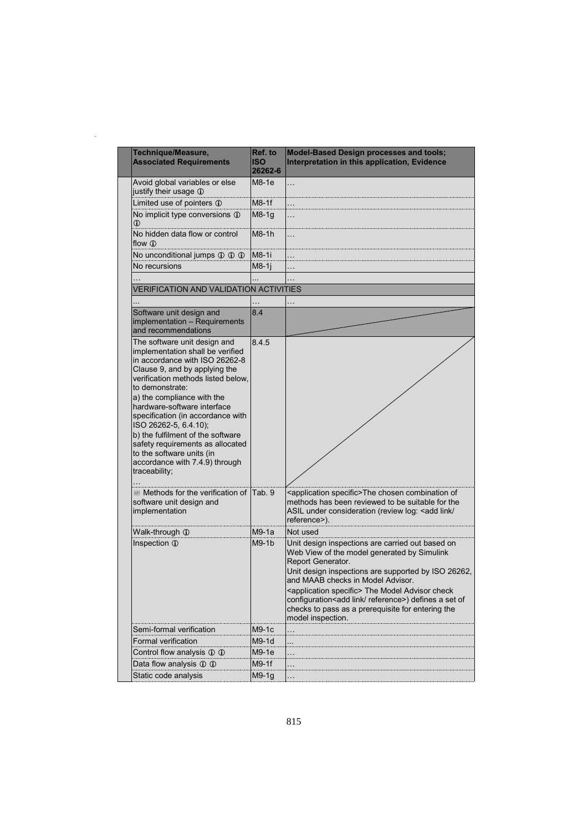| Technique/Measure,<br><b>Associated Requirements</b>                                                                                                                                                                                                                                                                                                                                                                                                                                                                  | Ref. to<br><b>ISO</b><br>26262-6 | <b>Model-Based Design processes and tools;</b><br>Interpretation in this application, Evidence                                                                                                                                                                                                                                                                                                                                      |
|-----------------------------------------------------------------------------------------------------------------------------------------------------------------------------------------------------------------------------------------------------------------------------------------------------------------------------------------------------------------------------------------------------------------------------------------------------------------------------------------------------------------------|----------------------------------|-------------------------------------------------------------------------------------------------------------------------------------------------------------------------------------------------------------------------------------------------------------------------------------------------------------------------------------------------------------------------------------------------------------------------------------|
| Avoid global variables or else<br>justify their usage 1                                                                                                                                                                                                                                                                                                                                                                                                                                                               | M8-1e                            | $\ddotsc$                                                                                                                                                                                                                                                                                                                                                                                                                           |
| Limited use of pointers 1                                                                                                                                                                                                                                                                                                                                                                                                                                                                                             | $M8-1f$                          |                                                                                                                                                                                                                                                                                                                                                                                                                                     |
| No implicit type conversions 1<br>$\omega$                                                                                                                                                                                                                                                                                                                                                                                                                                                                            | $M8-1q$                          |                                                                                                                                                                                                                                                                                                                                                                                                                                     |
| No hidden data flow or control<br>flow $\oplus$                                                                                                                                                                                                                                                                                                                                                                                                                                                                       | $M8-1h$                          | .                                                                                                                                                                                                                                                                                                                                                                                                                                   |
| No unconditional jumps 1 1 1 1                                                                                                                                                                                                                                                                                                                                                                                                                                                                                        | M8-1i                            |                                                                                                                                                                                                                                                                                                                                                                                                                                     |
| No recursions                                                                                                                                                                                                                                                                                                                                                                                                                                                                                                         | $M8-1$ j                         |                                                                                                                                                                                                                                                                                                                                                                                                                                     |
|                                                                                                                                                                                                                                                                                                                                                                                                                                                                                                                       |                                  |                                                                                                                                                                                                                                                                                                                                                                                                                                     |
| <b>VERIFICATION AND VALIDATION ACTIVITIES</b>                                                                                                                                                                                                                                                                                                                                                                                                                                                                         |                                  |                                                                                                                                                                                                                                                                                                                                                                                                                                     |
|                                                                                                                                                                                                                                                                                                                                                                                                                                                                                                                       |                                  |                                                                                                                                                                                                                                                                                                                                                                                                                                     |
| Software unit design and<br>implementation - Requirements<br>and recommendations                                                                                                                                                                                                                                                                                                                                                                                                                                      | 8.4                              |                                                                                                                                                                                                                                                                                                                                                                                                                                     |
| The software unit design and<br>implementation shall be verified<br>in accordance with ISO 26262-8<br>Clause 9, and by applying the<br>verification methods listed below.<br>to demonstrate:<br>a) the compliance with the<br>hardware-software interface<br>specification (in accordance with<br>ISO 26262-5, 6.4.10);<br>b) the fulfilment of the software<br>safety requirements as allocated<br>to the software units (in<br>accordance with 7.4.9) through<br>traceability;<br>■ Methods for the verification of | 8.4.5<br>Tab. 9                  | <application specific="">The chosen combination of</application>                                                                                                                                                                                                                                                                                                                                                                    |
| software unit design and<br>implementation                                                                                                                                                                                                                                                                                                                                                                                                                                                                            |                                  | methods has been reviewed to be suitable for the<br>ASIL under consideration (review log: <add <br="" link="">reference&gt;).</add>                                                                                                                                                                                                                                                                                                 |
| Walk-through 1                                                                                                                                                                                                                                                                                                                                                                                                                                                                                                        | M9-1a                            | Not used                                                                                                                                                                                                                                                                                                                                                                                                                            |
| Inspection 1                                                                                                                                                                                                                                                                                                                                                                                                                                                                                                          | $M9-1b$                          | Unit design inspections are carried out based on<br>Web View of the model generated by Simulink<br>Report Generator.<br>Unit design inspections are supported by ISO 26262,<br>and MAAB checks in Model Advisor.<br><application specific=""> The Model Advisor check<br/>configuration<add link="" reference="">) defines a set of<br/>checks to pass as a prerequisite for entering the<br/>model inspection.</add></application> |
| Semi-formal verification                                                                                                                                                                                                                                                                                                                                                                                                                                                                                              | M9-1c                            |                                                                                                                                                                                                                                                                                                                                                                                                                                     |
| Formal verification                                                                                                                                                                                                                                                                                                                                                                                                                                                                                                   | M9-1d                            |                                                                                                                                                                                                                                                                                                                                                                                                                                     |
| Control flow analysis 1 1                                                                                                                                                                                                                                                                                                                                                                                                                                                                                             | $M9-1e$                          |                                                                                                                                                                                                                                                                                                                                                                                                                                     |
| Data flow analysis 1 1                                                                                                                                                                                                                                                                                                                                                                                                                                                                                                | M9-1f                            |                                                                                                                                                                                                                                                                                                                                                                                                                                     |
| Static code analysis                                                                                                                                                                                                                                                                                                                                                                                                                                                                                                  | M9-1g                            |                                                                                                                                                                                                                                                                                                                                                                                                                                     |